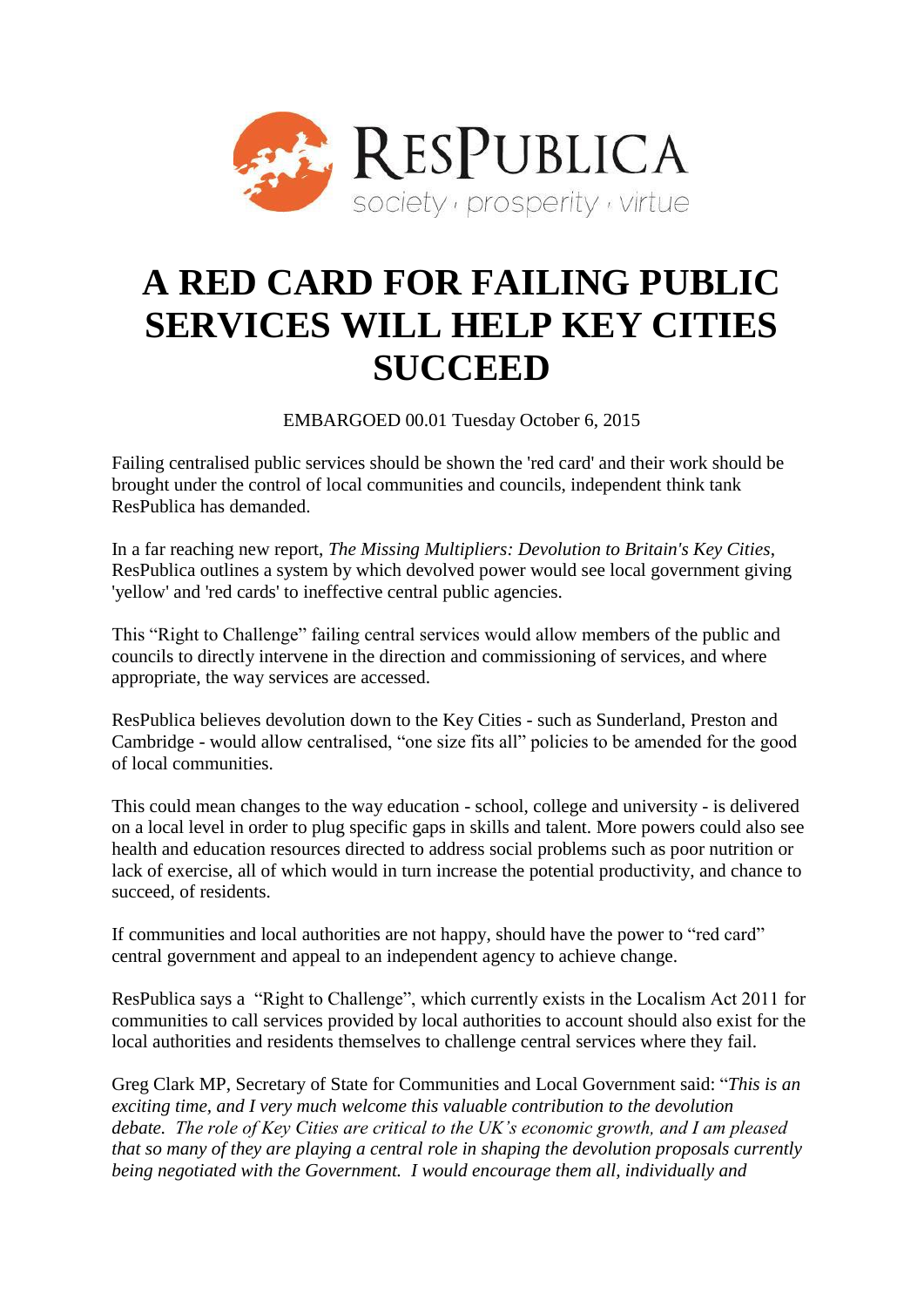

# **A RED CARD FOR FAILING PUBLIC SERVICES WILL HELP KEY CITIES SUCCEED**

EMBARGOED 00.01 Tuesday October 6, 2015

Failing centralised public services should be shown the 'red card' and their work should be brought under the control of local communities and councils, independent think tank ResPublica has demanded.

In a far reaching new report, *The Missing Multipliers: Devolution to Britain's Key Cities*, ResPublica outlines a system by which devolved power would see local government giving 'yellow' and 'red cards' to ineffective central public agencies.

This "Right to Challenge" failing central services would allow members of the public and councils to directly intervene in the direction and commissioning of services, and where appropriate, the way services are accessed.

ResPublica believes devolution down to the Key Cities - such as Sunderland, Preston and Cambridge - would allow centralised, "one size fits all" policies to be amended for the good of local communities.

This could mean changes to the way education - school, college and university - is delivered on a local level in order to plug specific gaps in skills and talent. More powers could also see health and education resources directed to address social problems such as poor nutrition or lack of exercise, all of which would in turn increase the potential productivity, and chance to succeed, of residents.

If communities and local authorities are not happy, should have the power to "red card" central government and appeal to an independent agency to achieve change.

ResPublica says a "Right to Challenge", which currently exists in the Localism Act 2011 for communities to call services provided by local authorities to account should also exist for the local authorities and residents themselves to challenge central services where they fail.

Greg Clark MP, Secretary of State for Communities and Local Government said: "*This is an exciting time, and I very much welcome this valuable contribution to the devolution debate. The role of Key Cities are critical to the UK's economic growth, and I am pleased that so many of they are playing a central role in shaping the devolution proposals currently being negotiated with the Government. I would encourage them all, individually and*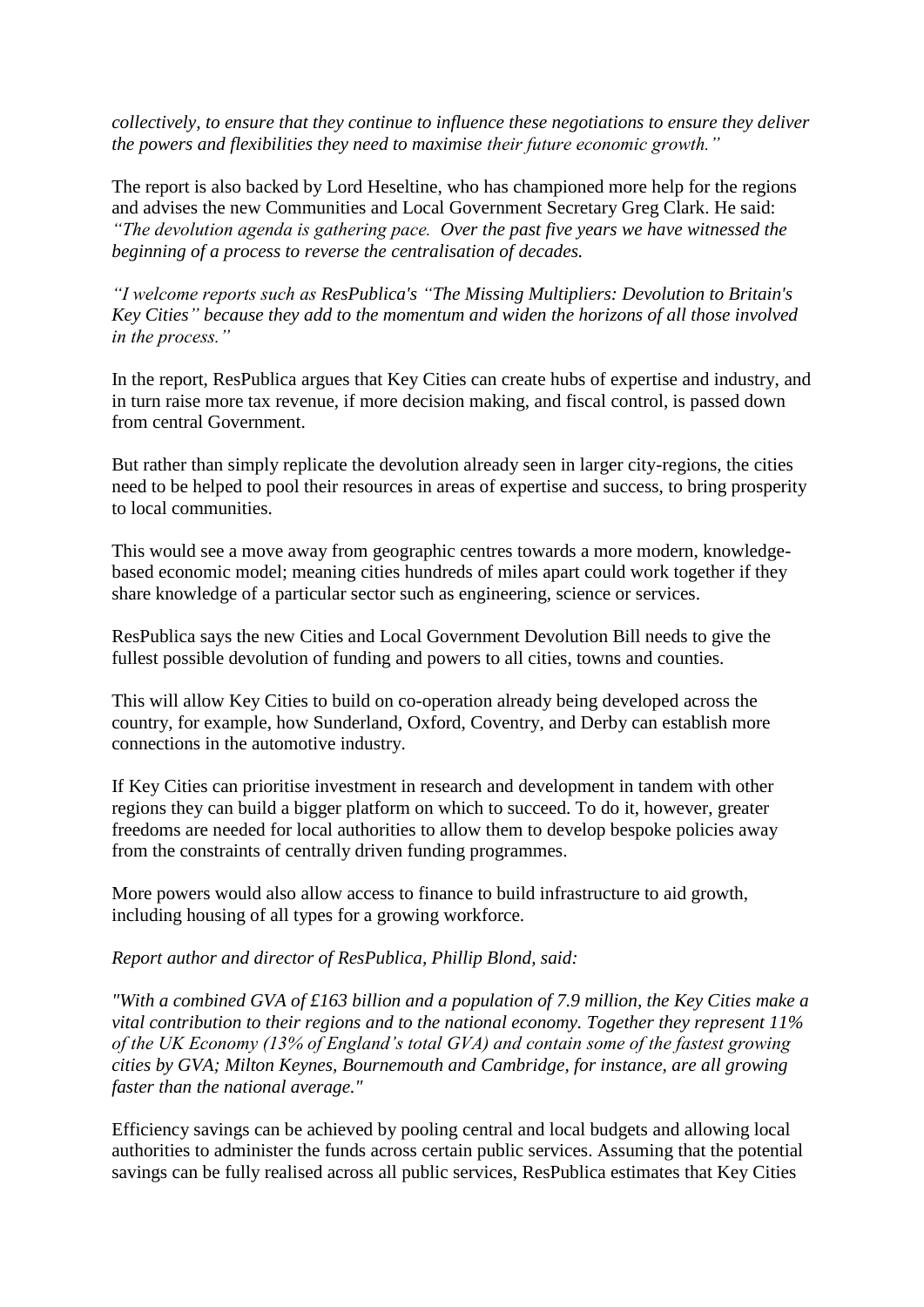*collectively, to ensure that they continue to influence these negotiations to ensure they deliver the powers and flexibilities they need to maximise their future economic growth."*

The report is also backed by Lord Heseltine, who has championed more help for the regions and advises the new Communities and Local Government Secretary Greg Clark. He said: *"The devolution agenda is gathering pace. Over the past five years we have witnessed the beginning of a process to reverse the centralisation of decades.* 

*"I welcome reports such as ResPublica's "The Missing Multipliers: Devolution to Britain's Key Cities" because they add to the momentum and widen the horizons of all those involved in the process."*

In the report, ResPublica argues that Key Cities can create hubs of expertise and industry, and in turn raise more tax revenue, if more decision making, and fiscal control, is passed down from central Government.

But rather than simply replicate the devolution already seen in larger city-regions, the cities need to be helped to pool their resources in areas of expertise and success, to bring prosperity to local communities.

This would see a move away from geographic centres towards a more modern, knowledgebased economic model; meaning cities hundreds of miles apart could work together if they share knowledge of a particular sector such as engineering, science or services.

ResPublica says the new Cities and Local Government Devolution Bill needs to give the fullest possible devolution of funding and powers to all cities, towns and counties.

This will allow Key Cities to build on co-operation already being developed across the country, for example, how Sunderland, Oxford, Coventry, and Derby can establish more connections in the automotive industry.

If Key Cities can prioritise investment in research and development in tandem with other regions they can build a bigger platform on which to succeed. To do it, however, greater freedoms are needed for local authorities to allow them to develop bespoke policies away from the constraints of centrally driven funding programmes.

More powers would also allow access to finance to build infrastructure to aid growth, including housing of all types for a growing workforce.

### *Report author and director of ResPublica, Phillip Blond, said:*

*"With a combined GVA of £163 billion and a population of 7.9 million, the Key Cities make a vital contribution to their regions and to the national economy. Together they represent 11% of the UK Economy (13% of England's total GVA) and contain some of the fastest growing cities by GVA; Milton Keynes, Bournemouth and Cambridge, for instance, are all growing faster than the national average."*

Efficiency savings can be achieved by pooling central and local budgets and allowing local authorities to administer the funds across certain public services. Assuming that the potential savings can be fully realised across all public services, ResPublica estimates that Key Cities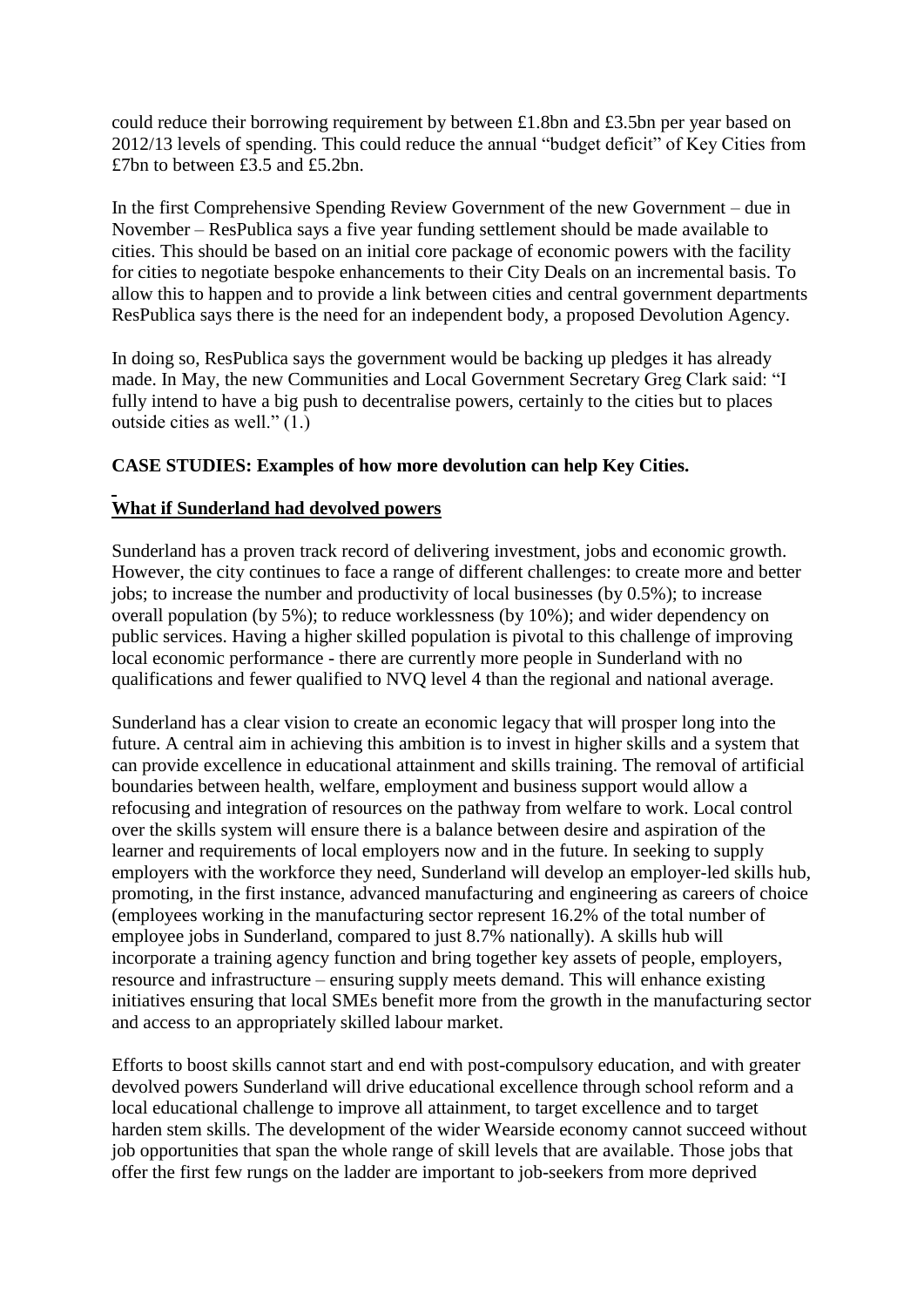could reduce their borrowing requirement by between £1.8bn and £3.5bn per year based on 2012/13 levels of spending. This could reduce the annual "budget deficit" of Key Cities from £7bn to between £3.5 and £5.2bn.

In the first Comprehensive Spending Review Government of the new Government – due in November – ResPublica says a five year funding settlement should be made available to cities. This should be based on an initial core package of economic powers with the facility for cities to negotiate bespoke enhancements to their City Deals on an incremental basis. To allow this to happen and to provide a link between cities and central government departments ResPublica says there is the need for an independent body, a proposed Devolution Agency.

In doing so, ResPublica says the government would be backing up pledges it has already made. In May, the new Communities and Local Government Secretary Greg Clark said: "I fully intend to have a big push to decentralise powers, certainly to the cities but to places outside cities as well." (1.)

## **CASE STUDIES: Examples of how more devolution can help Key Cities.**

# **What if Sunderland had devolved powers**

Sunderland has a proven track record of delivering investment, jobs and economic growth. However, the city continues to face a range of different challenges: to create more and better jobs; to increase the number and productivity of local businesses (by 0.5%); to increase overall population (by 5%); to reduce worklessness (by 10%); and wider dependency on public services. Having a higher skilled population is pivotal to this challenge of improving local economic performance - there are currently more people in Sunderland with no qualifications and fewer qualified to NVQ level 4 than the regional and national average.

Sunderland has a clear vision to create an economic legacy that will prosper long into the future. A central aim in achieving this ambition is to invest in higher skills and a system that can provide excellence in educational attainment and skills training. The removal of artificial boundaries between health, welfare, employment and business support would allow a refocusing and integration of resources on the pathway from welfare to work. Local control over the skills system will ensure there is a balance between desire and aspiration of the learner and requirements of local employers now and in the future. In seeking to supply employers with the workforce they need, Sunderland will develop an employer-led skills hub, promoting, in the first instance, advanced manufacturing and engineering as careers of choice (employees working in the manufacturing sector represent 16.2% of the total number of employee jobs in Sunderland, compared to just 8.7% nationally). A skills hub will incorporate a training agency function and bring together key assets of people, employers, resource and infrastructure – ensuring supply meets demand. This will enhance existing initiatives ensuring that local SMEs benefit more from the growth in the manufacturing sector and access to an appropriately skilled labour market.

Efforts to boost skills cannot start and end with post-compulsory education, and with greater devolved powers Sunderland will drive educational excellence through school reform and a local educational challenge to improve all attainment, to target excellence and to target harden stem skills. The development of the wider Wearside economy cannot succeed without job opportunities that span the whole range of skill levels that are available. Those jobs that offer the first few rungs on the ladder are important to job-seekers from more deprived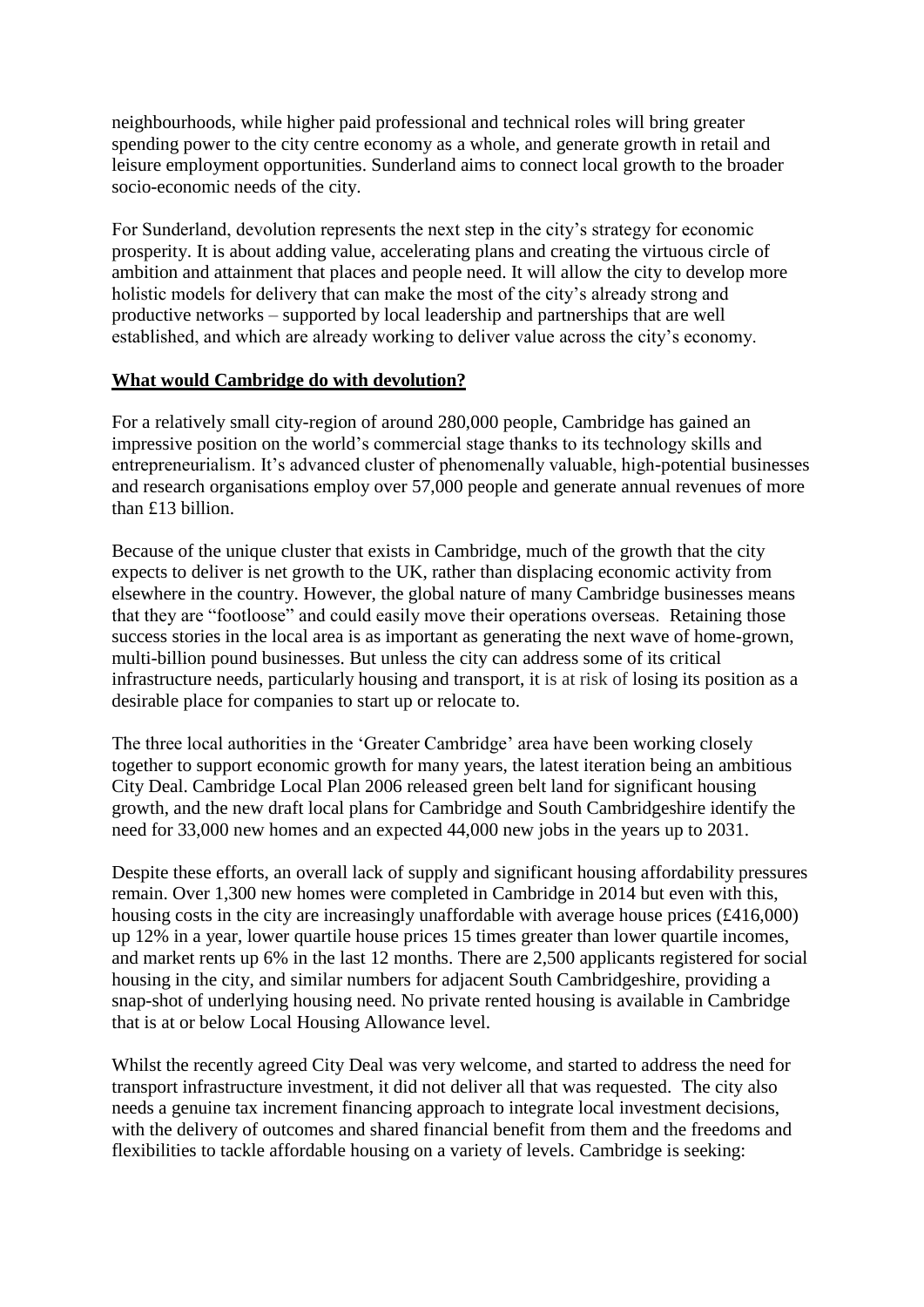neighbourhoods, while higher paid professional and technical roles will bring greater spending power to the city centre economy as a whole, and generate growth in retail and leisure employment opportunities. Sunderland aims to connect local growth to the broader socio-economic needs of the city.

For Sunderland, devolution represents the next step in the city's strategy for economic prosperity. It is about adding value, accelerating plans and creating the virtuous circle of ambition and attainment that places and people need. It will allow the city to develop more holistic models for delivery that can make the most of the city's already strong and productive networks – supported by local leadership and partnerships that are well established, and which are already working to deliver value across the city's economy.

## **What would Cambridge do with devolution?**

For a relatively small city-region of around 280,000 people, Cambridge has gained an impressive position on the world's commercial stage thanks to its technology skills and entrepreneurialism. It's advanced cluster of phenomenally valuable, high-potential businesses and research organisations employ over 57,000 people and generate annual revenues of more than £13 billion.

Because of the unique cluster that exists in Cambridge, much of the growth that the city expects to deliver is net growth to the UK, rather than displacing economic activity from elsewhere in the country. However, the global nature of many Cambridge businesses means that they are "footloose" and could easily move their operations overseas. Retaining those success stories in the local area is as important as generating the next wave of home-grown, multi-billion pound businesses. But unless the city can address some of its critical infrastructure needs, particularly housing and transport, it is at risk of losing its position as a desirable place for companies to start up or relocate to.

The three local authorities in the 'Greater Cambridge' area have been working closely together to support economic growth for many years, the latest iteration being an ambitious City Deal. Cambridge Local Plan 2006 released green belt land for significant housing growth, and the new draft local plans for Cambridge and South Cambridgeshire identify the need for 33,000 new homes and an expected 44,000 new jobs in the years up to 2031.

Despite these efforts, an overall lack of supply and significant housing affordability pressures remain. Over 1,300 new homes were completed in Cambridge in 2014 but even with this, housing costs in the city are increasingly unaffordable with average house prices (£416,000) up 12% in a year, lower quartile house prices 15 times greater than lower quartile incomes, and market rents up 6% in the last 12 months. There are 2,500 applicants registered for social housing in the city, and similar numbers for adjacent South Cambridgeshire, providing a snap-shot of underlying housing need. No private rented housing is available in Cambridge that is at or below Local Housing Allowance level.

Whilst the recently agreed City Deal was very welcome, and started to address the need for transport infrastructure investment, it did not deliver all that was requested. The city also needs a genuine tax increment financing approach to integrate local investment decisions, with the delivery of outcomes and shared financial benefit from them and the freedoms and flexibilities to tackle affordable housing on a variety of levels. Cambridge is seeking: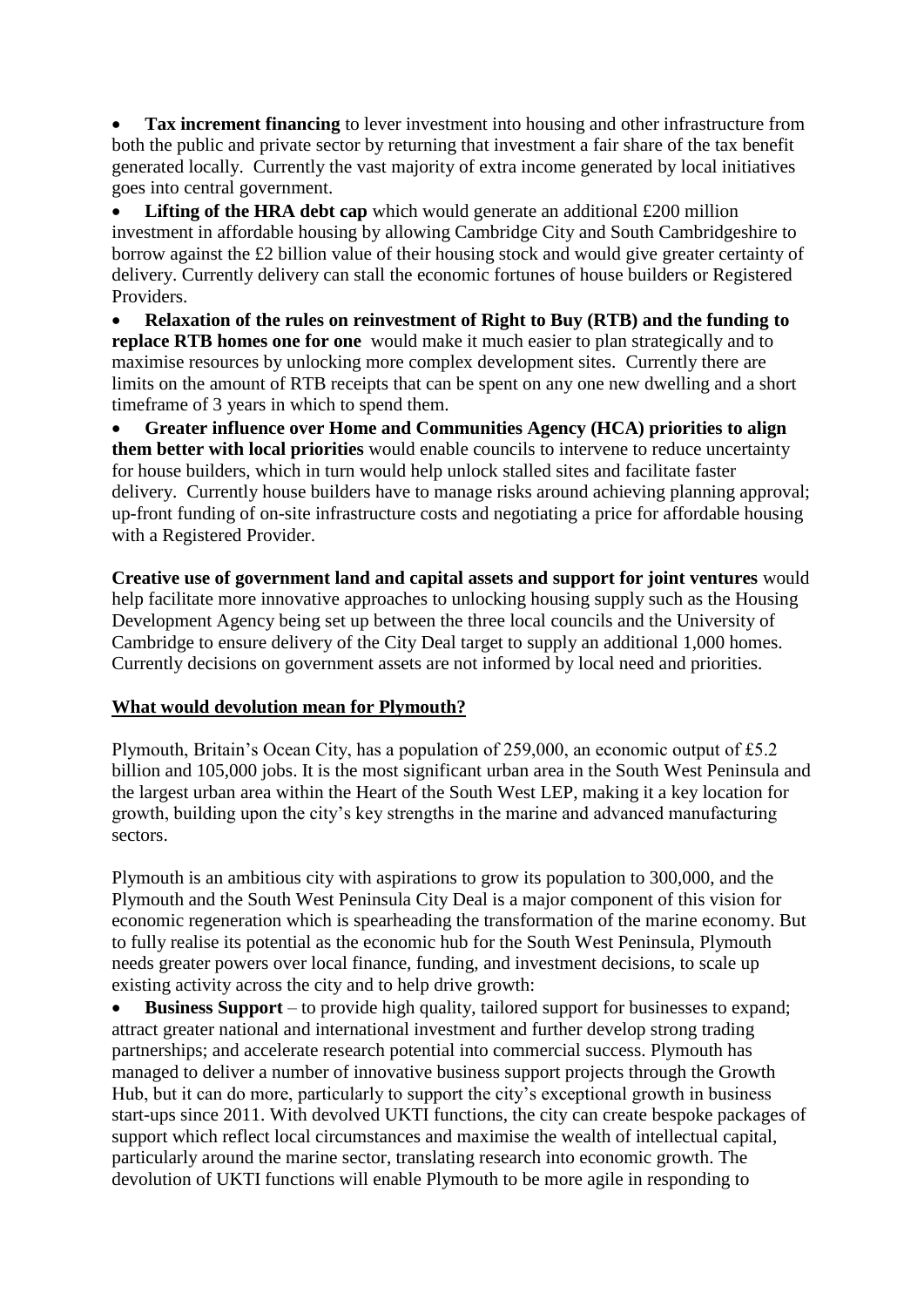**Tax increment financing** to lever investment into housing and other infrastructure from both the public and private sector by returning that investment a fair share of the tax benefit generated locally. Currently the vast majority of extra income generated by local initiatives goes into central government.

Lifting of the HRA debt cap which would generate an additional £200 million investment in affordable housing by allowing Cambridge City and South Cambridgeshire to borrow against the £2 billion value of their housing stock and would give greater certainty of delivery. Currently delivery can stall the economic fortunes of house builders or Registered Providers.

 **Relaxation of the rules on reinvestment of Right to Buy (RTB) and the funding to replace RTB homes one for one** would make it much easier to plan strategically and to maximise resources by unlocking more complex development sites. Currently there are limits on the amount of RTB receipts that can be spent on any one new dwelling and a short timeframe of 3 years in which to spend them.

 **Greater influence over Home and Communities Agency (HCA) priorities to align them better with local priorities** would enable councils to intervene to reduce uncertainty for house builders, which in turn would help unlock stalled sites and facilitate faster delivery. Currently house builders have to manage risks around achieving planning approval; up-front funding of on-site infrastructure costs and negotiating a price for affordable housing with a Registered Provider.

**Creative use of government land and capital assets and support for joint ventures** would help facilitate more innovative approaches to unlocking housing supply such as the Housing Development Agency being set up between the three local councils and the University of Cambridge to ensure delivery of the City Deal target to supply an additional 1,000 homes. Currently decisions on government assets are not informed by local need and priorities.

### **What would devolution mean for Plymouth?**

Plymouth, Britain's Ocean City, has a population of 259,000, an economic output of £5.2 billion and 105,000 jobs. It is the most significant urban area in the South West Peninsula and the largest urban area within the Heart of the South West LEP, making it a key location for growth, building upon the city's key strengths in the marine and advanced manufacturing sectors.

Plymouth is an ambitious city with aspirations to grow its population to 300,000, and the Plymouth and the South West Peninsula City Deal is a major component of this vision for economic regeneration which is spearheading the transformation of the marine economy. But to fully realise its potential as the economic hub for the South West Peninsula, Plymouth needs greater powers over local finance, funding, and investment decisions, to scale up existing activity across the city and to help drive growth:

 **Business Support** – to provide high quality, tailored support for businesses to expand; attract greater national and international investment and further develop strong trading partnerships; and accelerate research potential into commercial success. Plymouth has managed to deliver a number of innovative business support projects through the Growth Hub, but it can do more, particularly to support the city's exceptional growth in business start-ups since 2011. With devolved UKTI functions, the city can create bespoke packages of support which reflect local circumstances and maximise the wealth of intellectual capital, particularly around the marine sector, translating research into economic growth. The devolution of UKTI functions will enable Plymouth to be more agile in responding to